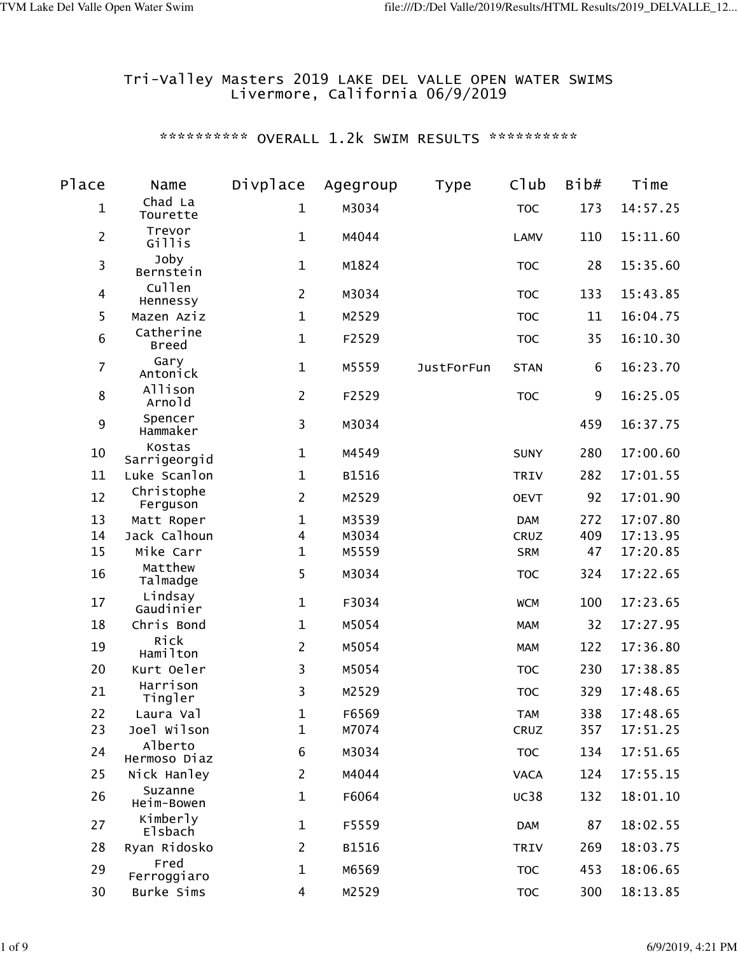### Tri-Valley Masters 2019 LAKE DEL VALLE OPEN WATER SWIMS Livermore, California 06/9/2019

| Place          | Name                      | Divplace       | Agegroup | Type              | Club        | Bib# | Time     |
|----------------|---------------------------|----------------|----------|-------------------|-------------|------|----------|
| $\mathbf 1$    | Chad La<br>Tourette       | 1              | M3034    |                   | <b>TOC</b>  | 173  | 14:57.25 |
| $\overline{2}$ | Trevor<br>Gillis          | $\mathbf{1}$   | M4044    |                   | <b>LAMV</b> | 110  | 15:11.60 |
| 3              | Joby<br>Bernstein         | $\mathbf{1}$   | M1824    |                   | <b>TOC</b>  | 28   | 15:35.60 |
| 4              | Cullen<br>Hennessy        | $\overline{2}$ | M3034    |                   | <b>TOC</b>  | 133  | 15:43.85 |
| 5              | Mazen Aziz                | $\mathbf{1}$   | M2529    |                   | <b>TOC</b>  | 11   | 16:04.75 |
| $\,6$          | Catherine<br><b>Breed</b> | $\mathbf{1}$   | F2529    |                   | <b>TOC</b>  | 35   | 16:10.30 |
| $\overline{7}$ | Gary<br>Antonick          | $\mathbf{1}$   | M5559    | <b>JustForFun</b> | <b>STAN</b> | 6    | 16:23.70 |
| $\bf 8$        | Allison<br>Arnold         | $\overline{2}$ | F2529    |                   | <b>TOC</b>  | 9    | 16:25.05 |
| 9              | Spencer<br>Hammaker       | 3              | M3034    |                   |             | 459  | 16:37.75 |
| 10             | Kostas<br>Sarrigeorgid    | $\mathbf 1$    | M4549    |                   | <b>SUNY</b> | 280  | 17:00.60 |
| 11             | Luke Scanlon              | 1              | B1516    |                   | <b>TRIV</b> | 282  | 17:01.55 |
| 12             | Christophe<br>Ferguson    | $\overline{2}$ | M2529    |                   | <b>OEVT</b> | 92   | 17:01.90 |
| 13             | Matt Roper                | 1              | M3539    |                   | <b>DAM</b>  | 272  | 17:07.80 |
| 14             | Jack Calhoun              | 4              | M3034    |                   | CRUZ        | 409  | 17:13.95 |
| 15             | Mike Carr                 | $\mathbf 1$    | M5559    |                   | <b>SRM</b>  | 47   | 17:20.85 |
| 16             | Matthew<br>Talmadge       | 5              | M3034    |                   | <b>TOC</b>  | 324  | 17:22.65 |
| 17             | Lindsay<br>Gaudinier      | $\mathbf{1}$   | F3034    |                   | <b>WCM</b>  | 100  | 17:23.65 |
| 18             | Chris Bond                | $\mathbf{1}$   | M5054    |                   | <b>MAM</b>  | 32   | 17:27.95 |
| 19             | Rick<br>Hamilton          | $\overline{2}$ | M5054    |                   | <b>MAM</b>  | 122  | 17:36.80 |
| 20             | Kurt Oeler                | 3              | M5054    |                   | <b>TOC</b>  | 230  | 17:38.85 |
| 21             | Harrison<br>Tingler       | 3              | M2529    |                   | <b>TOC</b>  | 329  | 17:48.65 |
| 22             | Laura Val                 | $\mathbf{1}$   | F6569    |                   | <b>TAM</b>  | 338  | 17:48.65 |
| 23             | Joel Wilson               | $\mathbf{1}$   | M7074    |                   | CRUZ        | 357  | 17:51.25 |
| 24             | Alberto<br>Hermoso Diaz   | 6              | M3034    |                   | <b>TOC</b>  | 134  | 17:51.65 |
| 25             | Nick Hanley               | $\overline{2}$ | M4044    |                   | <b>VACA</b> | 124  | 17:55.15 |
| 26             | Suzanne<br>Heim-Bowen     | 1              | F6064    |                   | <b>UC38</b> | 132  | 18:01.10 |
| 27             | Kimberly<br>Elsbach       | 1              | F5559    |                   | <b>DAM</b>  | 87   | 18:02.55 |
| 28             | Ryan Ridosko              | $\overline{2}$ | B1516    |                   | <b>TRIV</b> | 269  | 18:03.75 |
| 29             | Fred<br>Ferroggiaro       | 1              | M6569    |                   | <b>TOC</b>  | 453  | 18:06.65 |
| 30             | Burke Sims                | 4              | M2529    |                   | <b>TOC</b>  | 300  | 18:13.85 |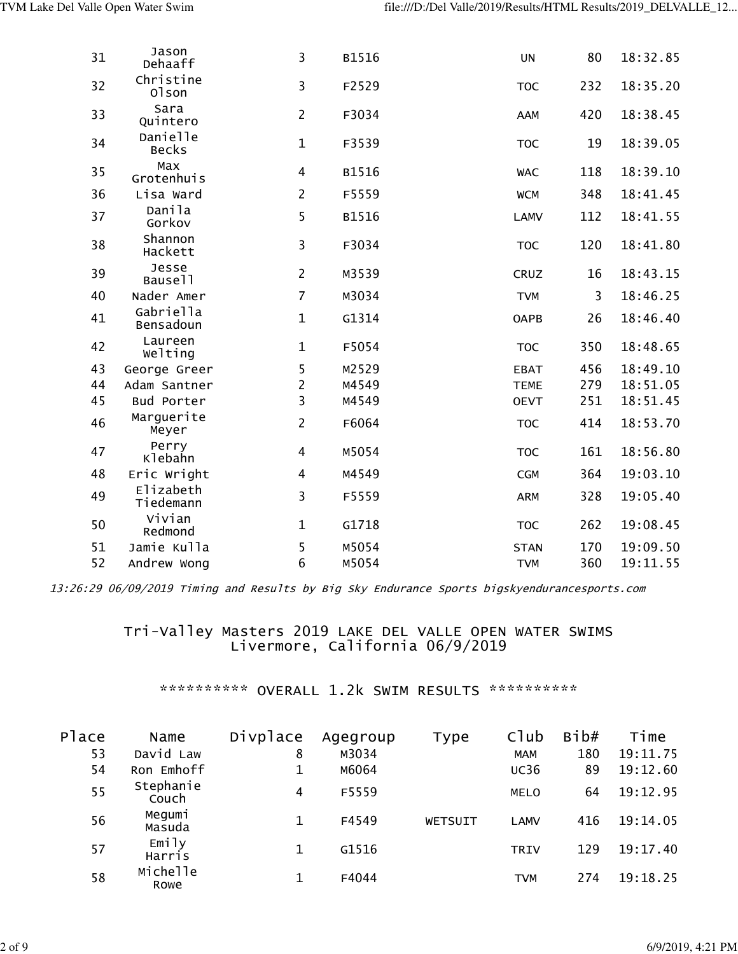| 31 | Jason<br>Dehaaff         | 3                       | B1516 | <b>UN</b>   | 80  | 18:32.85 |
|----|--------------------------|-------------------------|-------|-------------|-----|----------|
| 32 | Christine<br>01son       | 3                       | F2529 | <b>TOC</b>  | 232 | 18:35.20 |
| 33 | Sara<br>Quintero         | $\overline{2}$          | F3034 | AAM         | 420 | 18:38.45 |
| 34 | Danielle<br><b>Becks</b> | $\mathbf{1}$            | F3539 | <b>TOC</b>  | 19  | 18:39.05 |
| 35 | Max<br>Grotenhuis        | 4                       | B1516 | <b>WAC</b>  | 118 | 18:39.10 |
| 36 | Lisa Ward                | $\overline{2}$          | F5559 | <b>WCM</b>  | 348 | 18:41.45 |
| 37 | Danila<br>Gorkov         | 5                       | B1516 | <b>LAMV</b> | 112 | 18:41.55 |
| 38 | Shannon<br>Hackett       | 3                       | F3034 | <b>TOC</b>  | 120 | 18:41.80 |
| 39 | Jesse<br>Bause11         | $\overline{2}$          | M3539 | CRUZ        | 16  | 18:43.15 |
| 40 | Nader Amer               | $\overline{7}$          | M3034 | <b>TVM</b>  | 3   | 18:46.25 |
| 41 | Gabriella<br>Bensadoun   | $\mathbf{1}$            | G1314 | <b>OAPB</b> | 26  | 18:46.40 |
| 42 | Laureen<br>Welting       | $\mathbf{1}$            | F5054 | <b>TOC</b>  | 350 | 18:48.65 |
| 43 | George Greer             | 5                       | M2529 | <b>EBAT</b> | 456 | 18:49.10 |
| 44 | Adam Santner             | $\overline{2}$          | M4549 | <b>TEME</b> | 279 | 18:51.05 |
| 45 | Bud Porter               | $\overline{\mathbf{3}}$ | M4549 | <b>OEVT</b> | 251 | 18:51.45 |
| 46 | Marguerite<br>Meyer      | $\overline{2}$          | F6064 | <b>TOC</b>  | 414 | 18:53.70 |
| 47 | Perry<br>Klebahn         | $\overline{4}$          | M5054 | <b>TOC</b>  | 161 | 18:56.80 |
| 48 | Eric Wright              | $\overline{4}$          | M4549 | <b>CGM</b>  | 364 | 19:03.10 |
| 49 | Elizabeth<br>Tiedemann   | 3                       | F5559 | <b>ARM</b>  | 328 | 19:05.40 |
| 50 | Vivian<br>Redmond        | $\mathbf{1}$            | G1718 | <b>TOC</b>  | 262 | 19:08.45 |
| 51 | Jamie Kulla              | 5                       | M5054 | <b>STAN</b> | 170 | 19:09.50 |
| 52 | Andrew Wong              | 6                       | M5054 | <b>TVM</b>  | 360 | 19:11.55 |

#### Tri-Valley Masters 2019 LAKE DEL VALLE OPEN WATER SWIMS Livermore, California 06/9/2019

| Place | Name               | Divplace | Agegroup | Type    | Club        | Bib# | Time     |
|-------|--------------------|----------|----------|---------|-------------|------|----------|
| 53    | David Law          | 8        | M3034    |         | <b>MAM</b>  | 180  | 19:11.75 |
| 54    | Ron Emhoff         |          | M6064    |         | <b>UC36</b> | 89   | 19:12.60 |
| 55    | Stephanie<br>Couch | 4        | F5559    |         | <b>MELO</b> | 64   | 19:12.95 |
| 56    | Megumi<br>Masuda   |          | F4549    | WETSUIT | <b>LAMV</b> | 416  | 19:14.05 |
| 57    | Emily<br>Harris    |          | G1516    |         | <b>TRIV</b> | 129  | 19:17.40 |
| 58    | Michelle<br>Rowe   |          | F4044    |         | <b>TVM</b>  | 274  | 19:18.25 |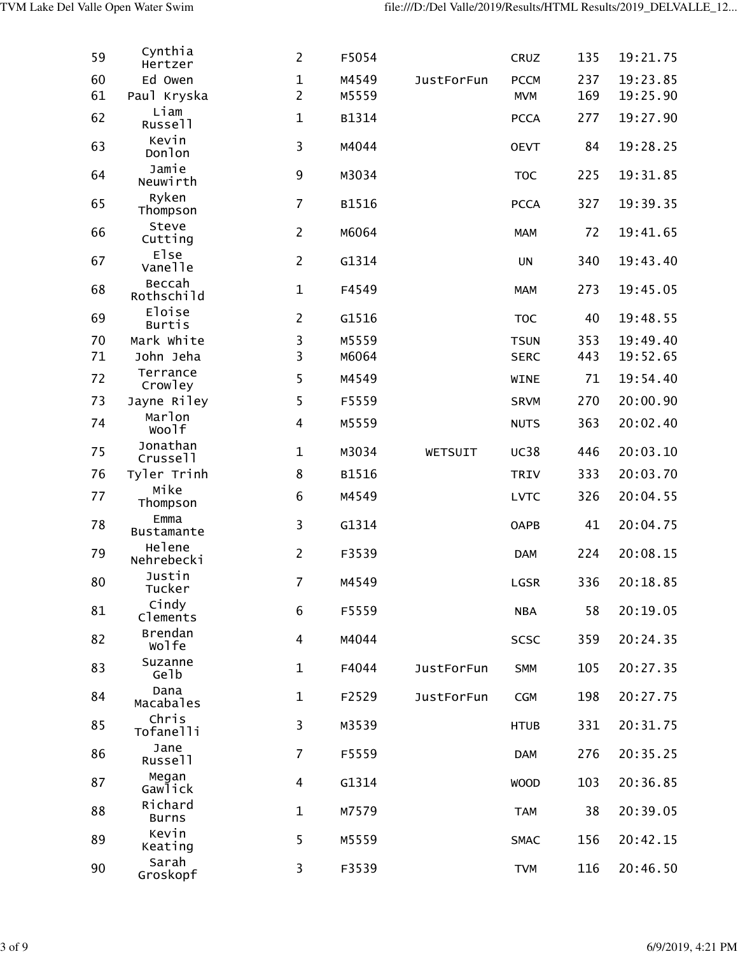| 59 | Cynthia<br>Hertzer        | $\overline{2}$ | F5054 |                   | CRUZ        | 135 | 19:21.75 |
|----|---------------------------|----------------|-------|-------------------|-------------|-----|----------|
| 60 | Ed Owen                   | $\mathbf{1}$   | M4549 | <b>JustForFun</b> | <b>PCCM</b> | 237 | 19:23.85 |
| 61 | Paul Kryska               | $\overline{2}$ | M5559 |                   | <b>MVM</b>  | 169 | 19:25.90 |
| 62 | Liam<br>Russell           | $\mathbf{1}$   | B1314 |                   | <b>PCCA</b> | 277 | 19:27.90 |
| 63 | Kevin<br>Donlon           | 3              | M4044 |                   | <b>OEVT</b> | 84  | 19:28.25 |
| 64 | Jamie<br>Neuwirth         | 9              | M3034 |                   | <b>TOC</b>  | 225 | 19:31.85 |
| 65 | Ryken<br>Thompson         | $\overline{7}$ | B1516 |                   | <b>PCCA</b> | 327 | 19:39.35 |
| 66 | Steve<br>Cutting          | $\overline{2}$ | M6064 |                   | <b>MAM</b>  | 72  | 19:41.65 |
| 67 | <b>Else</b><br>Vanelle    | $\overline{2}$ | G1314 |                   | <b>UN</b>   | 340 | 19:43.40 |
| 68 | Beccah<br>Rothschild      | $\mathbf{1}$   | F4549 |                   | <b>MAM</b>  | 273 | 19:45.05 |
| 69 | Eloise<br><b>Burtis</b>   | $\overline{2}$ | G1516 |                   | <b>TOC</b>  | 40  | 19:48.55 |
| 70 | Mark White                | 3              | M5559 |                   | <b>TSUN</b> | 353 | 19:49.40 |
| 71 | John Jeha                 | 3              | M6064 |                   | <b>SERC</b> | 443 | 19:52.65 |
| 72 | Terrance<br>Crowley       | 5              | M4549 |                   | <b>WINE</b> | 71  | 19:54.40 |
| 73 | Jayne Riley               | 5              | F5559 |                   | <b>SRVM</b> | 270 | 20:00.90 |
| 74 | Marlon<br>Woolf           | 4              | M5559 |                   | <b>NUTS</b> | 363 | 20:02.40 |
| 75 | Jonathan<br>Crussell      | $\mathbf{1}$   | M3034 | WETSUIT           | <b>UC38</b> | 446 | 20:03.10 |
| 76 | Tyler Trinh               | 8              | B1516 |                   | <b>TRIV</b> | 333 | 20:03.70 |
| 77 | Mike<br>Thompson          | 6              | M4549 |                   | <b>LVTC</b> | 326 | 20:04.55 |
| 78 | Emma<br><b>Bustamante</b> | 3              | G1314 |                   | <b>OAPB</b> | 41  | 20:04.75 |
| 79 | Helene<br>Nehrebecki      | $\overline{2}$ | F3539 |                   | <b>DAM</b>  | 224 | 20:08.15 |
| 80 | Justin<br>Tucker          | $\overline{7}$ | M4549 |                   | LGSR        | 336 | 20:18.85 |
| 81 | Cindy<br>Clements         | 6              | F5559 |                   | <b>NBA</b>  | 58  | 20:19.05 |
| 82 | <b>Brendan</b><br>Wolfe   | $\overline{4}$ | M4044 |                   | <b>SCSC</b> | 359 | 20:24.35 |
| 83 | Suzanne<br>Gelb           | $\mathbf{1}$   | F4044 | <b>JustForFun</b> | <b>SMM</b>  | 105 | 20:27.35 |
| 84 | Dana<br>Macabales         | $\mathbf 1$    | F2529 | <b>JustForFun</b> | <b>CGM</b>  | 198 | 20:27.75 |
| 85 | Chris<br>Tofanelli        | 3              | M3539 |                   | <b>HTUB</b> | 331 | 20:31.75 |
| 86 | Jane<br>Russell           | $\overline{7}$ | F5559 |                   | <b>DAM</b>  | 276 | 20:35.25 |
| 87 | Megan<br>Gawlick          | $\overline{4}$ | G1314 |                   | <b>WOOD</b> | 103 | 20:36.85 |
| 88 | Richard<br><b>Burns</b>   | $\mathbf 1$    | M7579 |                   | <b>TAM</b>  | 38  | 20:39.05 |
| 89 | Kevin<br>Keating          | 5              | M5559 |                   | <b>SMAC</b> | 156 | 20:42.15 |
| 90 | Sarah<br>Groskopf         | 3              | F3539 |                   | <b>TVM</b>  | 116 | 20:46.50 |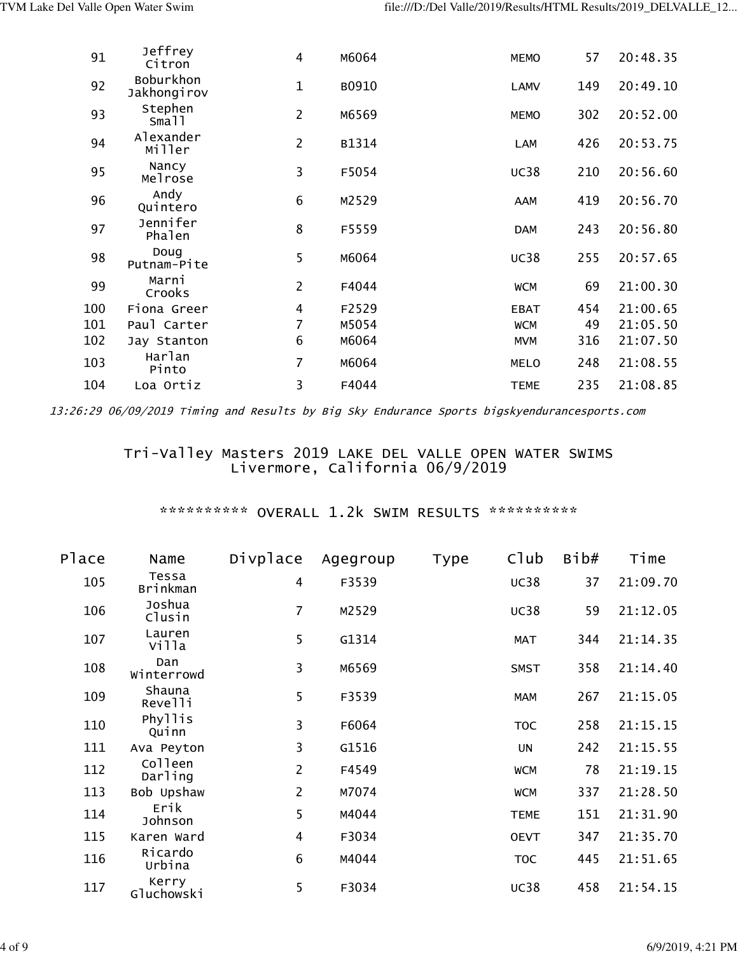| 91  | Jeffrey<br>Citron        | 4              | M6064 | <b>MEMO</b> | 57  | 20:48.35 |
|-----|--------------------------|----------------|-------|-------------|-----|----------|
| 92  | Boburkhon<br>Jakhongirov | $\mathbf{1}$   | B0910 | <b>LAMV</b> | 149 | 20:49.10 |
| 93  | Stephen<br>Small         | $\overline{2}$ | M6569 | <b>MEMO</b> | 302 | 20:52.00 |
| 94  | Alexander<br>Miller      | $\overline{2}$ | B1314 | LAM         | 426 | 20:53.75 |
| 95  | Nancy<br>Melrose         | 3              | F5054 | <b>UC38</b> | 210 | 20:56.60 |
| 96  | Andy<br>Quintero         | 6              | M2529 | AAM         | 419 | 20:56.70 |
| 97  | Jennifer<br>Phalen       | 8              | F5559 | <b>DAM</b>  | 243 | 20:56.80 |
| 98  | Doug<br>Putnam-Pite      | 5              | M6064 | <b>UC38</b> | 255 | 20:57.65 |
| 99  | Marni<br>Crooks          | $\overline{2}$ | F4044 | <b>WCM</b>  | 69  | 21:00.30 |
| 100 | Fiona Greer              | 4              | F2529 | <b>EBAT</b> | 454 | 21:00.65 |
| 101 | Paul Carter              | 7              | M5054 | <b>WCM</b>  | 49  | 21:05.50 |
| 102 | Jay Stanton              | 6              | M6064 | <b>MVM</b>  | 316 | 21:07.50 |
| 103 | Harlan<br>Pinto          | $\overline{7}$ | M6064 | <b>MELO</b> | 248 | 21:08.55 |
| 104 | Loa Ortiz                | 3              | F4044 | <b>TEME</b> | 235 | 21:08.85 |

#### Tri-Valley Masters 2019 LAKE DEL VALLE OPEN WATER SWIMS Livermore, California 06/9/2019

| Place | Name                     | Divplace       | Agegroup | <b>Type</b> | C1ub        | Bib# | Time     |
|-------|--------------------------|----------------|----------|-------------|-------------|------|----------|
| 105   | Tessa<br><b>Brinkman</b> | 4              | F3539    |             | <b>UC38</b> | 37   | 21:09.70 |
| 106   | Joshua<br>Clusin         | $\overline{7}$ | M2529    |             | <b>UC38</b> | 59   | 21:12.05 |
| 107   | Lauren<br>villa          | 5              | G1314    |             | MAT         | 344  | 21:14.35 |
| 108   | Dan<br>Winterrowd        | 3              | M6569    |             | <b>SMST</b> | 358  | 21:14.40 |
| 109   | Shauna<br>Revelli        | 5              | F3539    |             | <b>MAM</b>  | 267  | 21:15.05 |
| 110   | Phyllis<br>Quinn         | 3              | F6064    |             | <b>TOC</b>  | 258  | 21:15.15 |
| 111   | Ava Peyton               | 3              | G1516    |             | UN          | 242  | 21:15.55 |
| 112   | Colleen<br>Darling       | $\overline{2}$ | F4549    |             | <b>WCM</b>  | 78   | 21:19.15 |
| 113   | Bob Upshaw               | $\overline{2}$ | M7074    |             | <b>WCM</b>  | 337  | 21:28.50 |
| 114   | Erik<br>Johnson          | 5              | M4044    |             | <b>TEME</b> | 151  | 21:31.90 |
| 115   | Karen Ward               | 4              | F3034    |             | <b>OEVT</b> | 347  | 21:35.70 |
| 116   | Ricardo<br>Urbina        | 6              | M4044    |             | <b>TOC</b>  | 445  | 21:51.65 |
| 117   | Kerry<br>Gluchowski      | 5              | F3034    |             | <b>UC38</b> | 458  | 21:54.15 |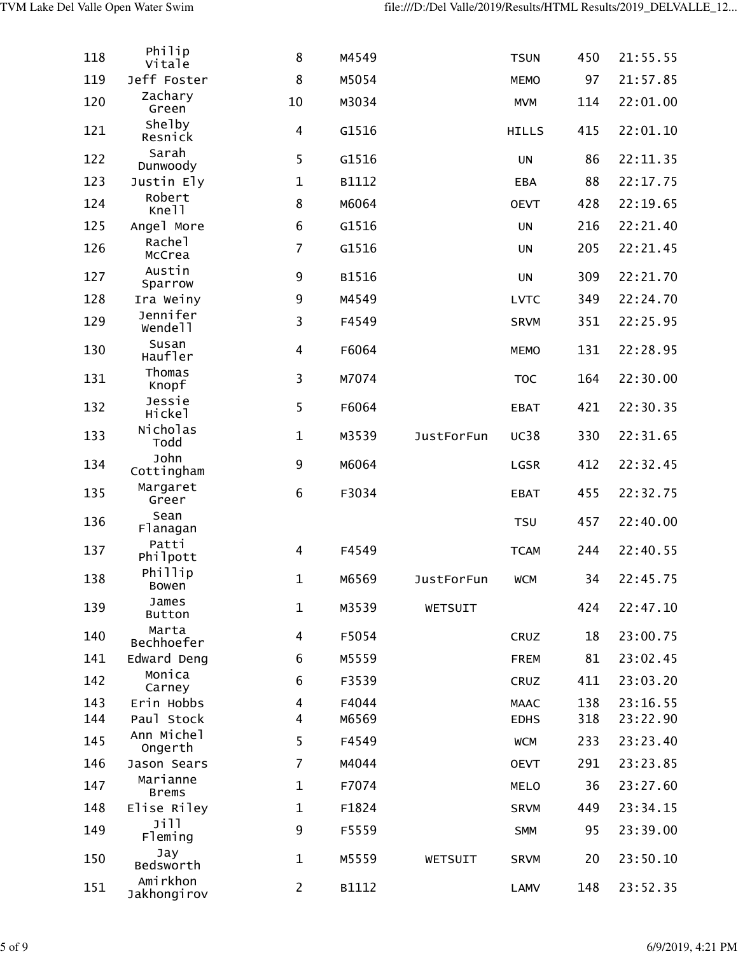| 118 | Philip<br>Vitale            | 8              | M4549 |                   | <b>TSUN</b>  | 450 | 21:55.55 |
|-----|-----------------------------|----------------|-------|-------------------|--------------|-----|----------|
| 119 | Jeff Foster                 | 8              | M5054 |                   | <b>MEMO</b>  | 97  | 21:57.85 |
| 120 | Zachary<br>Green            | 10             | M3034 |                   | <b>MVM</b>   | 114 | 22:01.00 |
| 121 | Shelby<br>Resnick           | $\overline{4}$ | G1516 |                   | <b>HILLS</b> | 415 | 22:01.10 |
| 122 | Sarah<br>Dunwoody           | 5              | G1516 |                   | UN           | 86  | 22:11.35 |
| 123 | Justin Ely                  | $\mathbf{1}$   | B1112 |                   | <b>EBA</b>   | 88  | 22:17.75 |
| 124 | Robert<br>Kne <sub>11</sub> | 8              | M6064 |                   | <b>OEVT</b>  | 428 | 22:19.65 |
| 125 | Angel More                  | 6              | G1516 |                   | UN           | 216 | 22:21.40 |
| 126 | Rachel<br>McCrea            | $\overline{7}$ | G1516 |                   | UN           | 205 | 22:21.45 |
| 127 | Austin<br>Sparrow           | 9              | B1516 |                   | <b>UN</b>    | 309 | 22:21.70 |
| 128 | Ira Weiny                   | 9              | M4549 |                   | <b>LVTC</b>  | 349 | 22:24.70 |
| 129 | Jennifer<br>Wendell         | 3              | F4549 |                   | <b>SRVM</b>  | 351 | 22:25.95 |
| 130 | Susan<br>Haufler            | 4              | F6064 |                   | <b>MEMO</b>  | 131 | 22:28.95 |
| 131 | Thomas<br>Knopf             | 3              | M7074 |                   | <b>TOC</b>   | 164 | 22:30.00 |
| 132 | Jessie<br>Hickel            | 5              | F6064 |                   | <b>EBAT</b>  | 421 | 22:30.35 |
| 133 | Nicholas<br>Todd            | $\mathbf 1$    | M3539 | <b>JustForFun</b> | <b>UC38</b>  | 330 | 22:31.65 |
| 134 | John<br>Cottingham          | 9              | M6064 |                   | LGSR         | 412 | 22:32.45 |
| 135 | Margaret<br>Greer           | 6              | F3034 |                   | <b>EBAT</b>  | 455 | 22:32.75 |
| 136 | Sean<br><b>Flanagan</b>     |                |       |                   | <b>TSU</b>   | 457 | 22:40.00 |
| 137 | Patti<br>Philpott           | 4              | F4549 |                   | <b>TCAM</b>  | 244 | 22:40.55 |
| 138 | Phillip<br>Bowen            | $\mathbf 1$    | M6569 | <b>JustForFun</b> | <b>WCM</b>   | 34  | 22:45.75 |
| 139 | James<br><b>Button</b>      | $\mathbf{1}$   | M3539 | WETSUIT           |              | 424 | 22:47.10 |
| 140 | Marta<br>Bechhoefer         | 4              | F5054 |                   | CRUZ         | 18  | 23:00.75 |
| 141 | Edward Deng                 | 6              | M5559 |                   | <b>FREM</b>  | 81  | 23:02.45 |
| 142 | Monica<br>Carney            | 6              | F3539 |                   | CRUZ         | 411 | 23:03.20 |
| 143 | Erin Hobbs                  | 4              | F4044 |                   | <b>MAAC</b>  | 138 | 23:16.55 |
| 144 | Paul Stock                  | 4              | M6569 |                   | <b>EDHS</b>  | 318 | 23:22.90 |
| 145 | Ann Michel<br>Ongerth       | 5              | F4549 |                   | <b>WCM</b>   | 233 | 23:23.40 |
| 146 | Jason Sears<br>Marianne     | $\overline{7}$ | M4044 |                   | <b>OEVT</b>  | 291 | 23:23.85 |
| 147 | <b>Brems</b>                | $\mathbf{1}$   | F7074 |                   | <b>MELO</b>  | 36  | 23:27.60 |
| 148 | Elise Riley                 | $\mathbf{1}$   | F1824 |                   | <b>SRVM</b>  | 449 | 23:34.15 |
| 149 | Jill<br>Fleming             | 9              | F5559 |                   | <b>SMM</b>   | 95  | 23:39.00 |
| 150 | Jay<br>Bedsworth            | $\mathbf{1}$   | M5559 | WETSUIT           | <b>SRVM</b>  | 20  | 23:50.10 |
| 151 | Amirkhon<br>Jakhongirov     | $\overline{2}$ | B1112 |                   | <b>LAMV</b>  | 148 | 23:52.35 |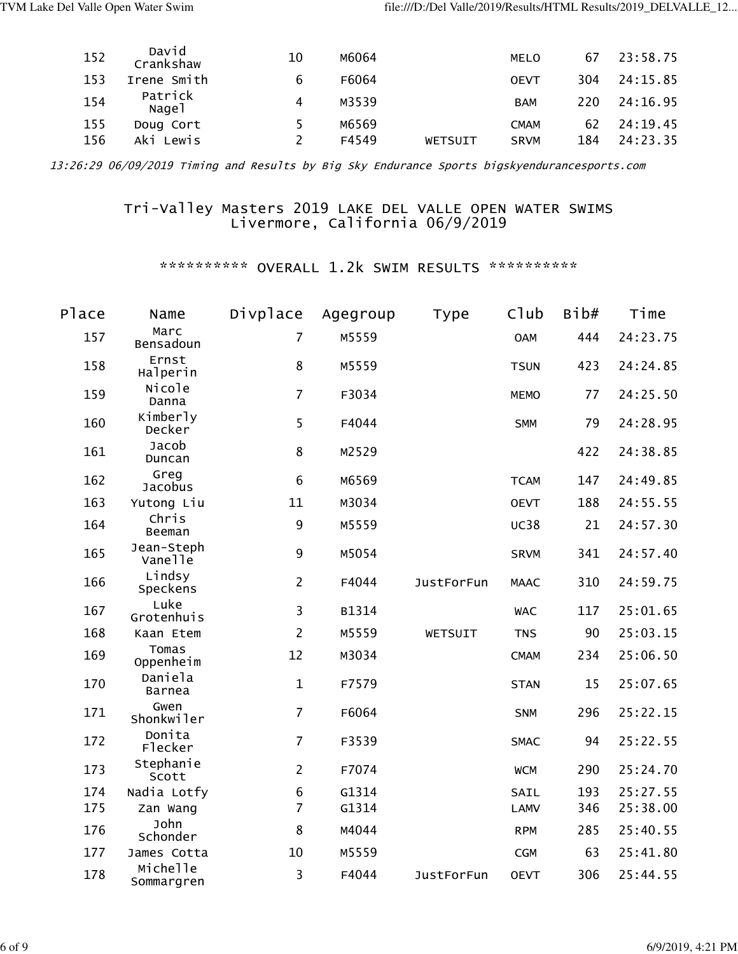| 152 | David<br>Crankshaw | 10 | M6064 |         | MELO        | 67  | 23:58.75 |
|-----|--------------------|----|-------|---------|-------------|-----|----------|
| 153 | Irene Smith        | 6  | F6064 |         | <b>OEVT</b> | 304 | 24:15.85 |
| 154 | Patrick<br>Nagel   | 4  | M3539 |         | <b>BAM</b>  | 220 | 24:16.95 |
| 155 | Doug Cort          | 5. | M6569 |         | <b>CMAM</b> | 62  | 24:19.45 |
| 156 | Aki Lewis          |    | F4549 | WETSUIT | <b>SRVM</b> | 184 | 24:23.35 |

#### Tri-Valley Masters 2019 LAKE DEL VALLE OPEN WATER SWIMS Livermore, California 06/9/2019

| Place | Name                   | Divplace       | Agegroup | Type              | C1ub        | Bib# | Time     |
|-------|------------------------|----------------|----------|-------------------|-------------|------|----------|
| 157   | Marc<br>Bensadoun      | $\overline{7}$ | M5559    |                   | <b>OAM</b>  | 444  | 24:23.75 |
| 158   | Ernst<br>Halperin      | 8              | M5559    |                   | <b>TSUN</b> | 423  | 24:24.85 |
| 159   | Nicole<br>Danna        | $\overline{7}$ | F3034    |                   | <b>MEMO</b> | 77   | 24:25.50 |
| 160   | Kimberly<br>Decker     | 5              | F4044    |                   | <b>SMM</b>  | 79   | 24:28.95 |
| 161   | Jacob<br>Duncan        | 8              | M2529    |                   |             | 422  | 24:38.85 |
| 162   | Greg<br>Jacobus        | 6              | M6569    |                   | <b>TCAM</b> | 147  | 24:49.85 |
| 163   | Yutong Liu             | 11             | M3034    |                   | <b>OEVT</b> | 188  | 24:55.55 |
| 164   | Chris<br>Beeman        | 9              | M5559    |                   | <b>UC38</b> | 21   | 24:57.30 |
| 165   | Jean-Steph<br>Vanelle  | 9              | M5054    |                   | <b>SRVM</b> | 341  | 24:57.40 |
| 166   | Lindsy<br>Speckens     | $\overline{2}$ | F4044    | <b>JustForFun</b> | <b>MAAC</b> | 310  | 24:59.75 |
| 167   | Luke<br>Grotenhuis     | 3              | B1314    |                   | <b>WAC</b>  | 117  | 25:01.65 |
| 168   | Kaan Etem              | $\overline{2}$ | M5559    | WETSUIT           | <b>TNS</b>  | 90   | 25:03.15 |
| 169   | Tomas<br>Oppenheim     | 12             | M3034    |                   | <b>CMAM</b> | 234  | 25:06.50 |
| 170   | Daniela<br>Barnea      | $\mathbf{1}$   | F7579    |                   | <b>STAN</b> | 15   | 25:07.65 |
| 171   | Gwen<br>Shonkwiler     | $\overline{7}$ | F6064    |                   | <b>SNM</b>  | 296  | 25:22.15 |
| 172   | Donita<br>Flecker      | $\overline{7}$ | F3539    |                   | <b>SMAC</b> | 94   | 25:22.55 |
| 173   | Stephanie<br>Scott     | $\overline{2}$ | F7074    |                   | <b>WCM</b>  | 290  | 25:24.70 |
| 174   | Nadia Lotfy            | 6              | G1314    |                   | SAIL        | 193  | 25:27.55 |
| 175   | Zan Wang               | $\overline{7}$ | G1314    |                   | <b>LAMV</b> | 346  | 25:38.00 |
| 176   | John<br>Schonder       | 8              | M4044    |                   | <b>RPM</b>  | 285  | 25:40.55 |
| 177   | James Cotta            | 10             | M5559    |                   | CGM         | 63   | 25:41.80 |
| 178   | Michelle<br>Sommargren | 3              | F4044    | <b>JustForFun</b> | <b>OEVT</b> | 306  | 25:44.55 |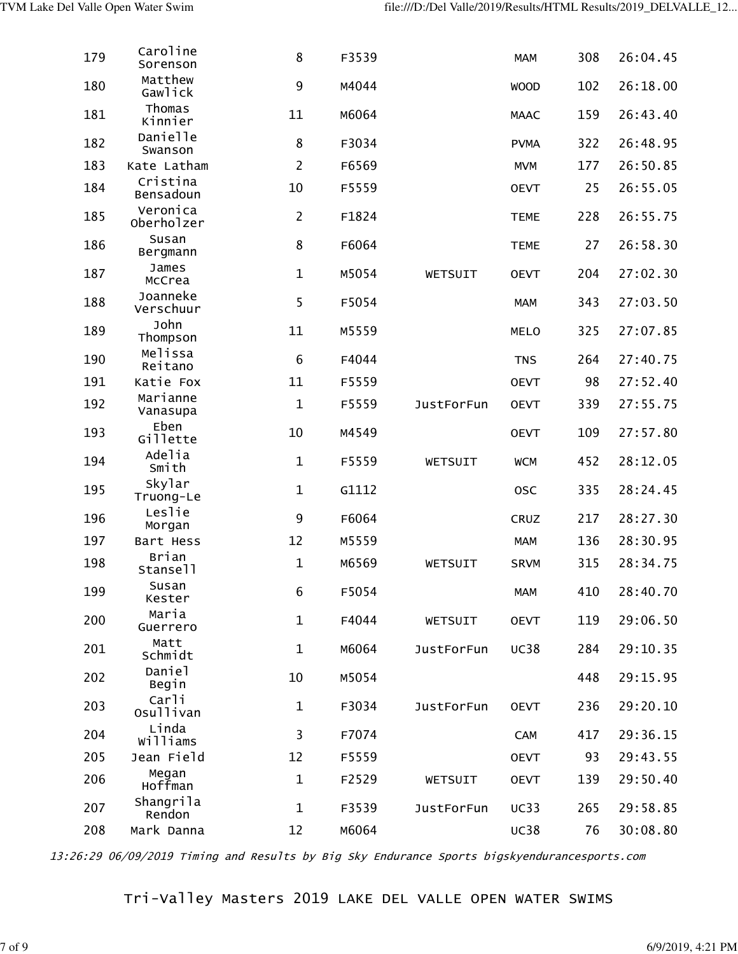| 179 | Caroline<br>Sorenson   | 8              | F3539 |                   | <b>MAM</b>  | 308 | 26:04.45 |
|-----|------------------------|----------------|-------|-------------------|-------------|-----|----------|
| 180 | Matthew<br>Gawlick     | 9              | M4044 |                   | <b>WOOD</b> | 102 | 26:18.00 |
| 181 | Thomas<br>Kinnier      | 11             | M6064 |                   | <b>MAAC</b> | 159 | 26:43.40 |
| 182 | Danielle<br>Swanson    | 8              | F3034 |                   | <b>PVMA</b> | 322 | 26:48.95 |
| 183 | Kate Latham            | $\overline{2}$ | F6569 |                   | <b>MVM</b>  | 177 | 26:50.85 |
| 184 | Cristina<br>Bensadoun  | 10             | F5559 |                   | <b>OEVT</b> | 25  | 26:55.05 |
| 185 | Veronica<br>Oberholzer | $\overline{c}$ | F1824 |                   | <b>TEME</b> | 228 | 26:55.75 |
| 186 | Susan<br>Bergmann      | 8              | F6064 |                   | <b>TEME</b> | 27  | 26:58.30 |
| 187 | James<br>McCrea        | $\mathbf{1}$   | M5054 | WETSUIT           | <b>OEVT</b> | 204 | 27:02.30 |
| 188 | Joanneke<br>Verschuur  | 5              | F5054 |                   | <b>MAM</b>  | 343 | 27:03.50 |
| 189 | John<br>Thompson       | 11             | M5559 |                   | <b>MELO</b> | 325 | 27:07.85 |
| 190 | Melissa<br>Reitano     | 6              | F4044 |                   | <b>TNS</b>  | 264 | 27:40.75 |
| 191 | Katie Fox              | 11             | F5559 |                   | <b>OEVT</b> | 98  | 27:52.40 |
| 192 | Marianne<br>Vanasupa   | $\mathbf{1}$   | F5559 | <b>JustForFun</b> | <b>OEVT</b> | 339 | 27:55.75 |
| 193 | Eben<br>Gillette       | 10             | M4549 |                   | <b>OEVT</b> | 109 | 27:57.80 |
| 194 | Adelia<br>Smith        | $\mathbf 1$    | F5559 | WETSUIT           | <b>WCM</b>  | 452 | 28:12.05 |
| 195 | Skylar<br>Truong-Le    | $\mathbf{1}$   | G1112 |                   | 0SC         | 335 | 28:24.45 |
| 196 | Leslie<br>Morgan       | 9              | F6064 |                   | CRUZ        | 217 | 28:27.30 |
| 197 | Bart Hess              | 12             | M5559 |                   | <b>MAM</b>  | 136 | 28:30.95 |
| 198 | Brian<br>Stansell      | $\mathbf{1}$   | M6569 | WETSUIT           | <b>SRVM</b> | 315 | 28:34.75 |
| 199 | Susan<br>Kester        | 6              | F5054 |                   | <b>MAM</b>  | 410 | 28:40.70 |
| 200 | Maria<br>Guerrero      | $\mathbf{1}$   | F4044 | WETSUIT           | <b>OEVT</b> | 119 | 29:06.50 |
| 201 | Matt<br>Schmidt        | $\mathbf{1}$   | M6064 | <b>JustForFun</b> | <b>UC38</b> | 284 | 29:10.35 |
| 202 | Daniel<br>Begin        | 10             | M5054 |                   |             | 448 | 29:15.95 |
| 203 | Carli<br>Osullivan     | $\mathbf{1}$   | F3034 | <b>JustForFun</b> | <b>OEVT</b> | 236 | 29:20.10 |
| 204 | Linda<br>Williams      | 3              | F7074 |                   | <b>CAM</b>  | 417 | 29:36.15 |
| 205 | Jean Field             | 12             | F5559 |                   | <b>OEVT</b> | 93  | 29:43.55 |
| 206 | Megan<br>Hoffman       | $\mathbf{1}$   | F2529 | WETSUIT           | <b>OEVT</b> | 139 | 29:50.40 |
| 207 | Shangrila<br>Rendon    | $\mathbf{1}$   | F3539 | <b>JustForFun</b> | UC33        | 265 | 29:58.85 |
| 208 | Mark Danna             | 12             | M6064 |                   | <b>UC38</b> | 76  | 30:08.80 |

## Tri-Valley Masters 2019 LAKE DEL VALLE OPEN WATER SWIMS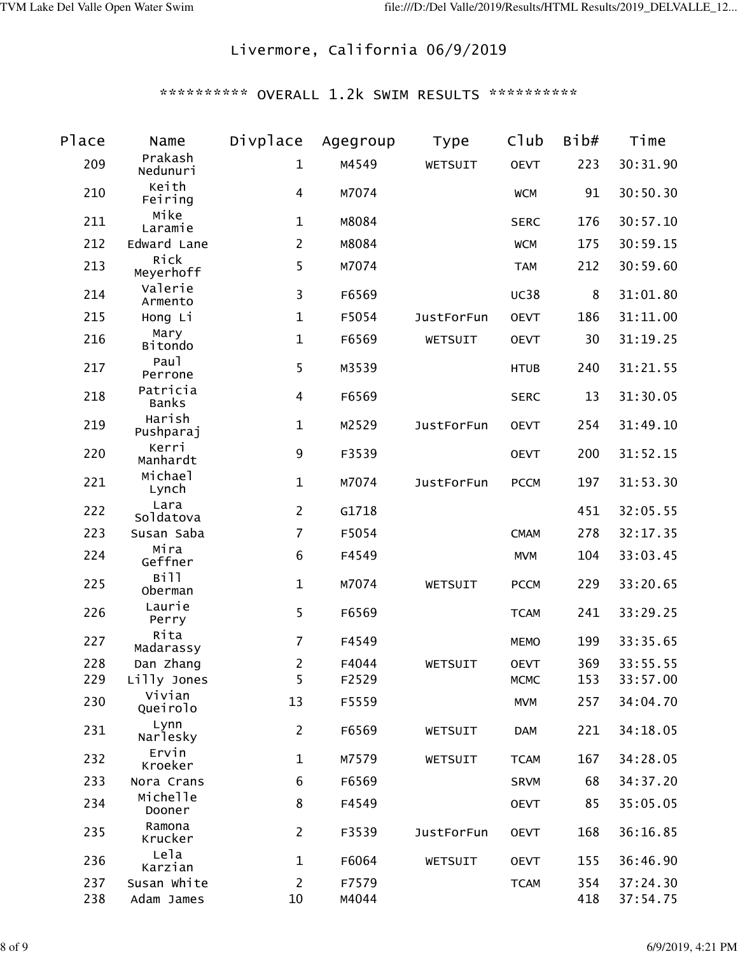# Livermore, California 06/9/2019

| Place | Name                     | Divplace       | Agegroup | <b>Type</b>       | Club        | Bib# | Time     |
|-------|--------------------------|----------------|----------|-------------------|-------------|------|----------|
| 209   | Prakash<br>Nedunuri      | $\mathbf{1}$   | M4549    | WETSUIT           | <b>OEVT</b> | 223  | 30:31.90 |
| 210   | Keith<br>Feiring         | 4              | M7074    |                   | <b>WCM</b>  | 91   | 30:50.30 |
| 211   | Mike<br>Laramie          | $\mathbf{1}$   | M8084    |                   | <b>SERC</b> | 176  | 30:57.10 |
| 212   | Edward Lane              | $\overline{2}$ | M8084    |                   | <b>WCM</b>  | 175  | 30:59.15 |
| 213   | Rick<br>Meyerhoff        | 5              | M7074    |                   | <b>TAM</b>  | 212  | 30:59.60 |
| 214   | Valerie<br>Armento       | 3              | F6569    |                   | <b>UC38</b> | 8    | 31:01.80 |
| 215   | Hong Li                  | $\mathbf{1}$   | F5054    | <b>JustForFun</b> | <b>OEVT</b> | 186  | 31:11.00 |
| 216   | Mary<br>Bitondo          | $\mathbf{1}$   | F6569    | WETSUIT           | <b>OEVT</b> | 30   | 31:19.25 |
| 217   | Pau1<br>Perrone          | 5              | M3539    |                   | <b>HTUB</b> | 240  | 31:21.55 |
| 218   | Patricia<br><b>Banks</b> | 4              | F6569    |                   | <b>SERC</b> | 13   | 31:30.05 |
| 219   | Harish<br>Pushparaj      | $\mathbf{1}$   | M2529    | <b>JustForFun</b> | <b>OEVT</b> | 254  | 31:49.10 |
| 220   | Kerri<br>Manhardt        | 9              | F3539    |                   | <b>OEVT</b> | 200  | 31:52.15 |
| 221   | Michael<br>Lynch         | $\mathbf{1}$   | M7074    | <b>JustForFun</b> | <b>PCCM</b> | 197  | 31:53.30 |
| 222   | Lara<br>Soldatova        | $\overline{2}$ | G1718    |                   |             | 451  | 32:05.55 |
| 223   | Susan Saba               | $\overline{7}$ | F5054    |                   | <b>CMAM</b> | 278  | 32:17.35 |
| 224   | Mira<br>Geffner          | 6              | F4549    |                   | <b>MVM</b>  | 104  | 33:03.45 |
| 225   | Bill<br>Oberman          | $\mathbf{1}$   | M7074    | WETSUIT           | <b>PCCM</b> | 229  | 33:20.65 |
| 226   | Laurie<br>Perry          | 5              | F6569    |                   | <b>TCAM</b> | 241  | 33:29.25 |
| 227   | Rita<br>Madarassy        | $\overline{7}$ | F4549    |                   | <b>MEMO</b> | 199  | 33:35.65 |
| 228   | Dan Zhang                | $\overline{2}$ | F4044    | WETSUIT           | <b>OEVT</b> | 369  | 33:55.55 |
| 229   | Lilly Jones              | 5              | F2529    |                   | <b>MCMC</b> | 153  | 33:57.00 |
| 230   | Vivian<br>Queirolo       | 13             | F5559    |                   | <b>MVM</b>  | 257  | 34:04.70 |
| 231   | Lynn<br>Narlesky         | $\overline{2}$ | F6569    | WETSUIT           | <b>DAM</b>  | 221  | 34:18.05 |
| 232   | Ervin<br>Kroeker         | $\mathbf{1}$   | M7579    | WETSUIT           | <b>TCAM</b> | 167  | 34:28.05 |
| 233   | Nora Crans               | 6              | F6569    |                   | <b>SRVM</b> | 68   | 34:37.20 |
| 234   | Michelle<br>Dooner       | 8              | F4549    |                   | <b>OEVT</b> | 85   | 35:05.05 |
| 235   | Ramona<br>Krucker        | $\overline{2}$ | F3539    | <b>JustForFun</b> | <b>OEVT</b> | 168  | 36:16.85 |
| 236   | Lela<br>Karzian          | 1              | F6064    | WETSUIT           | <b>OEVT</b> | 155  | 36:46.90 |
| 237   | Susan White              | $\overline{c}$ | F7579    |                   | <b>TCAM</b> | 354  | 37:24.30 |
| 238   | Adam James               | 10             | M4044    |                   |             | 418  | 37:54.75 |